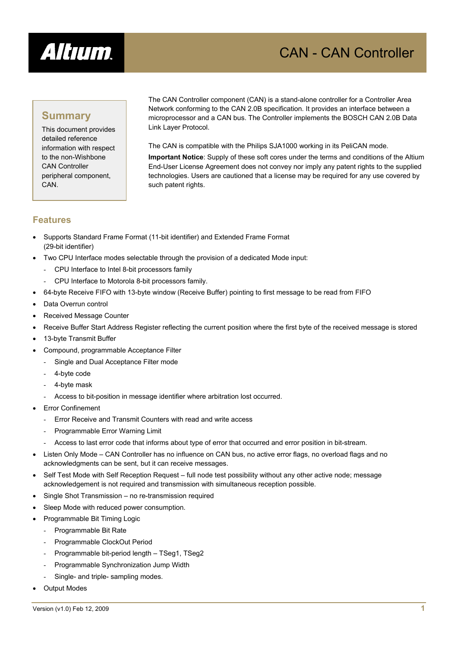

# CAN - CAN Controller

## **Summary**

This document provides detailed reference information with respect to the non-Wishbone CAN Controller peripheral component, CAN.

The CAN Controller component (CAN) is a stand-alone controller for a Controller Area Network conforming to the CAN 2.0B specification. It provides an interface between a microprocessor and a CAN bus. The Controller implements the BOSCH CAN 2.0B Data Link Layer Protocol.

The CAN is compatible with the Philips SJA1000 working in its PeliCAN mode.

**Important Notice**: Supply of these soft cores under the terms and conditions of the Altium End-User License Agreement does not convey nor imply any patent rights to the supplied technologies. Users are cautioned that a license may be required for any use covered by such patent rights.

## **Features**

- Supports Standard Frame Format (11-bit identifier) and Extended Frame Format (29-bit identifier)
- Two CPU Interface modes selectable through the provision of a dedicated Mode input:
	- CPU Interface to Intel 8-bit processors family
	- CPU Interface to Motorola 8-bit processors family.
- 64-byte Receive FIFO with 13-byte window (Receive Buffer) pointing to first message to be read from FIFO
- Data Overrun control
- Received Message Counter
- Receive Buffer Start Address Register reflecting the current position where the first byte of the received message is stored
- 13-byte Transmit Buffer
- Compound, programmable Acceptance Filter
	- Single and Dual Acceptance Filter mode
	- 4-byte code
	- 4-byte mask
	- Access to bit-position in message identifier where arbitration lost occurred.
- **Error Confinement** 
	- Error Receive and Transmit Counters with read and write access
	- Programmable Error Warning Limit
	- Access to last error code that informs about type of error that occurred and error position in bit-stream.
- Listen Only Mode CAN Controller has no influence on CAN bus, no active error flags, no overload flags and no acknowledgments can be sent, but it can receive messages.
- Self Test Mode with Self Reception Request full node test possibility without any other active node; message acknowledgement is not required and transmission with simultaneous reception possible.
- Single Shot Transmission no re-transmission required
- Sleep Mode with reduced power consumption.
- Programmable Bit Timing Logic
	- Programmable Bit Rate
	- Programmable ClockOut Period
	- Programmable bit-period length TSeg1, TSeg2
	- Programmable Synchronization Jump Width
	- Single- and triple- sampling modes.
- **Output Modes**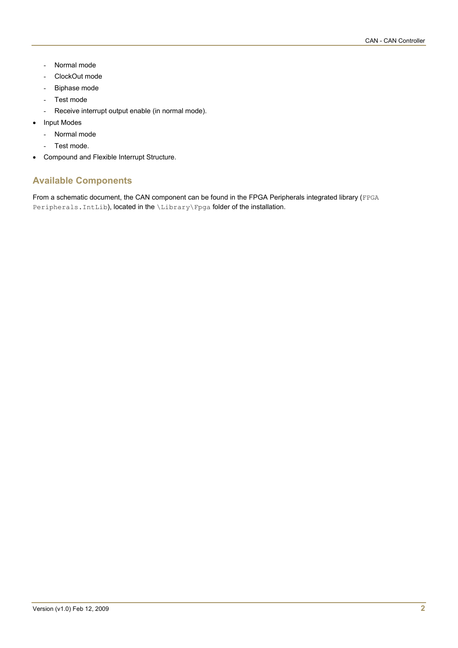- Normal mode
- ClockOut mode
- Biphase mode
- Test mode
- Receive interrupt output enable (in normal mode).
- Input Modes
	- Normal mode
	- Test mode.
- Compound and Flexible Interrupt Structure.

## **Available Components**

From a schematic document, the CAN component can be found in the FPGA Peripherals integrated library (FPGA Peripherals. IntLib), located in the \Library\Fpga folder of the installation.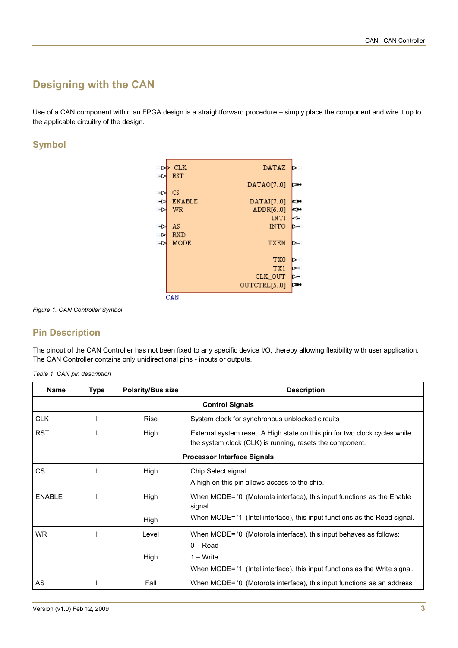# **Designing with the CAN**

Use of a CAN component within an FPGA design is a straightforward procedure – simply place the component and wire it up to the applicable circuitry of the design.

## **Symbol**



*Figure 1. CAN Controller Symbol* 

## **Pin Description**

The pinout of the CAN Controller has not been fixed to any specific device I/O, thereby allowing flexibility with user application. The CAN Controller contains only unidirectional pins - inputs or outputs.

|  |  |  |  | Table 1. CAN pin description |
|--|--|--|--|------------------------------|
|--|--|--|--|------------------------------|

| <b>Name</b>   | <b>Type</b> | <b>Polarity/Bus size</b> | <b>Description</b>                                                                                                                     |
|---------------|-------------|--------------------------|----------------------------------------------------------------------------------------------------------------------------------------|
|               |             |                          | <b>Control Signals</b>                                                                                                                 |
| <b>CLK</b>    |             | <b>Rise</b>              | System clock for synchronous unblocked circuits                                                                                        |
| <b>RST</b>    |             | High                     | External system reset. A High state on this pin for two clock cycles while<br>the system clock (CLK) is running, resets the component. |
|               |             |                          | <b>Processor Interface Signals</b>                                                                                                     |
| <b>CS</b>     |             | High                     | Chip Select signal<br>A high on this pin allows access to the chip.                                                                    |
| <b>ENABLE</b> |             | High                     | When MODE= '0' (Motorola interface), this input functions as the Enable<br>signal.                                                     |
|               |             | High                     | When MODE= '1' (Intel interface), this input functions as the Read signal.                                                             |
| <b>WR</b>     |             | Level                    | When MODE= '0' (Motorola interface), this input behaves as follows:<br>$0 - Read$                                                      |
|               |             | High                     | $1 - Write$ .                                                                                                                          |
|               |             |                          | When MODE= '1' (Intel interface), this input functions as the Write signal.                                                            |
| AS            |             | Fall                     | When MODE= '0' (Motorola interface), this input functions as an address                                                                |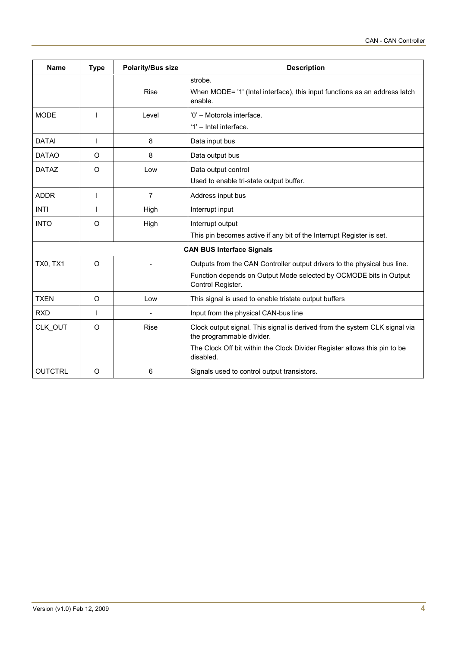| <b>Name</b>     | <b>Type</b> | <b>Polarity/Bus size</b> | <b>Description</b>                                                                                      |
|-----------------|-------------|--------------------------|---------------------------------------------------------------------------------------------------------|
|                 |             |                          | strobe.                                                                                                 |
|                 |             | <b>Rise</b>              | When MODE= '1' (Intel interface), this input functions as an address latch<br>enable.                   |
| <b>MODE</b>     |             | Level                    | '0' - Motorola interface.                                                                               |
|                 |             |                          | '1' - Intel interface.                                                                                  |
| <b>DATAI</b>    |             | 8                        | Data input bus                                                                                          |
| <b>DATAO</b>    | O           | 8                        | Data output bus                                                                                         |
| <b>DATAZ</b>    | $\circ$     | Low                      | Data output control                                                                                     |
|                 |             |                          | Used to enable tri-state output buffer.                                                                 |
| <b>ADDR</b>     | ı           | $\overline{7}$           | Address input bus                                                                                       |
| <b>INTI</b>     |             | High                     | Interrupt input                                                                                         |
| <b>INTO</b>     | $\circ$     | High                     | Interrupt output                                                                                        |
|                 |             |                          | This pin becomes active if any bit of the Interrupt Register is set.                                    |
|                 |             |                          | <b>CAN BUS Interface Signals</b>                                                                        |
| <b>TX0, TX1</b> | O           |                          | Outputs from the CAN Controller output drivers to the physical bus line.                                |
|                 |             |                          | Function depends on Output Mode selected by OCMODE bits in Output<br>Control Register.                  |
| <b>TXEN</b>     | $\circ$     | Low                      | This signal is used to enable tristate output buffers                                                   |
| <b>RXD</b>      |             |                          | Input from the physical CAN-bus line                                                                    |
| CLK OUT         | O           | <b>Rise</b>              | Clock output signal. This signal is derived from the system CLK signal via<br>the programmable divider. |
|                 |             |                          | The Clock Off bit within the Clock Divider Register allows this pin to be<br>disabled.                  |
| <b>OUTCTRL</b>  | $\circ$     | 6                        | Signals used to control output transistors.                                                             |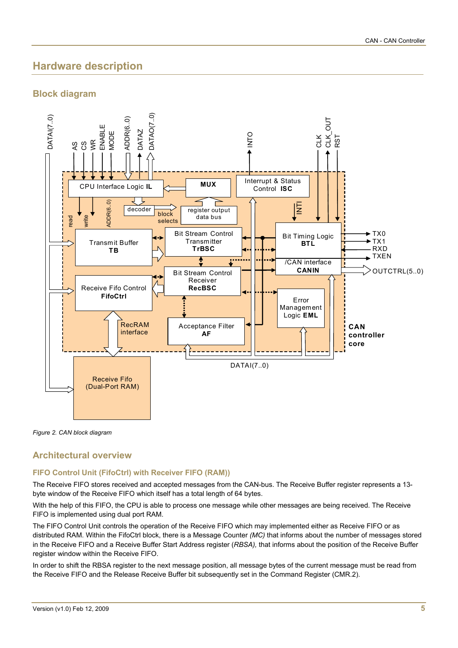# **Hardware description**

## **Block diagram**



*Figure 2. CAN block diagram* 

## **Architectural overview**

## **FIFO Control Unit (FifoCtrl) with Receiver FIFO (RAM))**

The Receive FIFO stores received and accepted messages from the CAN-bus. The Receive Buffer register represents a 13 byte window of the Receive FIFO which itself has a total length of 64 bytes.

With the help of this FIFO, the CPU is able to process one message while other messages are being received. The Receive FIFO is implemented using dual port RAM.

The FIFO Control Unit controls the operation of the Receive FIFO which may implemented either as Receive FIFO or as distributed RAM. Within the FifoCtrl block, there is a Message Counter *(MC)* that informs about the number of messages stored in the Receive FIFO and a Receive Buffer Start Address register (*RBSA),* that informs about the position of the Receive Buffer register window within the Receive FIFO.

In order to shift the RBSA register to the next message position, all message bytes of the current message must be read from the Receive FIFO and the Release Receive Buffer bit subsequently set in the Command Register (CMR.2).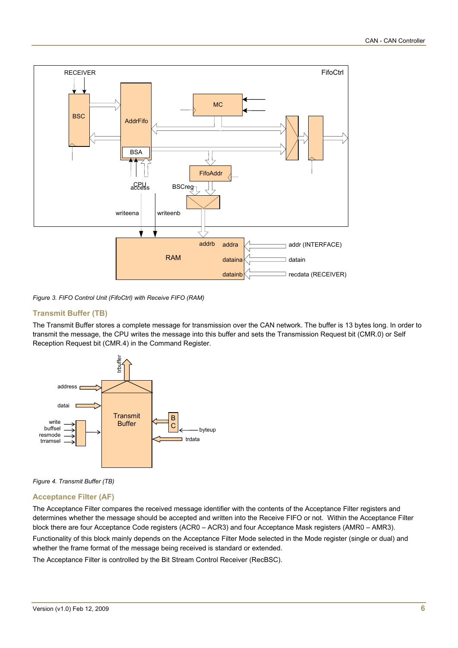

*Figure 3. FIFO Control Unit (FifoCtrl) with Receive FIFO (RAM)* 

## **Transmit Buffer (TB)**

The Transmit Buffer stores a complete message for transmission over the CAN network. The buffer is 13 bytes long. In order to transmit the message, the CPU writes the message into this buffer and sets the Transmission Request bit (CMR.0) or Self Reception Request bit (CMR.4) in the Command Register.





## **Acceptance Filter (AF)**

The Acceptance Filter compares the received message identifier with the contents of the Acceptance Filter registers and determines whether the message should be accepted and written into the Receive FIFO or not. Within the Acceptance Filter block there are four Acceptance Code registers (ACR0 – ACR3) and four Acceptance Mask registers (AMR0 – AMR3).

Functionality of this block mainly depends on the Acceptance Filter Mode selected in the Mode register (single or dual) and whether the frame format of the message being received is standard or extended.

The Acceptance Filter is controlled by the Bit Stream Control Receiver (RecBSC).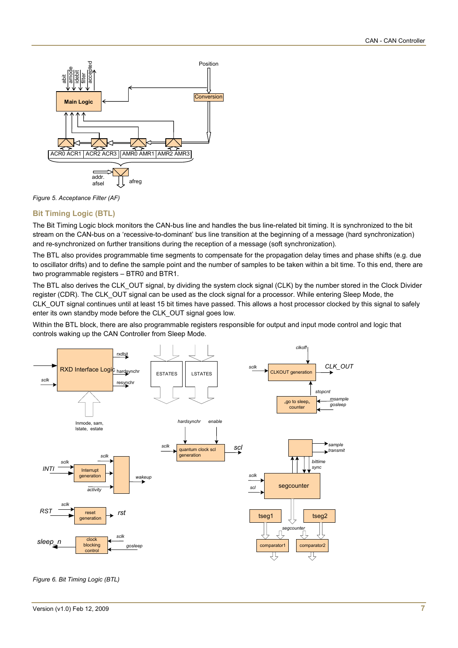



#### **Bit Timing Logic (BTL)**

The Bit Timing Logic block monitors the CAN-bus line and handles the bus line-related bit timing. It is synchronized to the bit stream on the CAN-bus on a 'recessive-to-dominant' bus line transition at the beginning of a message (hard synchronization) and re-synchronized on further transitions during the reception of a message (soft synchronization).

The BTL also provides programmable time segments to compensate for the propagation delay times and phase shifts (e.g. due to oscillator drifts) and to define the sample point and the number of samples to be taken within a bit time. To this end, there are two programmable registers – BTR0 and BTR1.

The BTL also derives the CLK OUT signal, by dividing the system clock signal (CLK) by the number stored in the Clock Divider register (CDR). The CLK OUT signal can be used as the clock signal for a processor. While entering Sleep Mode, the CLK\_OUT signal continues until at least 15 bit times have passed. This allows a host processor clocked by this signal to safely enter its own standby mode before the CLK\_OUT signal goes low.

Within the BTL block, there are also programmable registers responsible for output and input mode control and logic that controls waking up the CAN Controller from Sleep Mode.



*Figure 6. Bit Timing Logic (BTL)*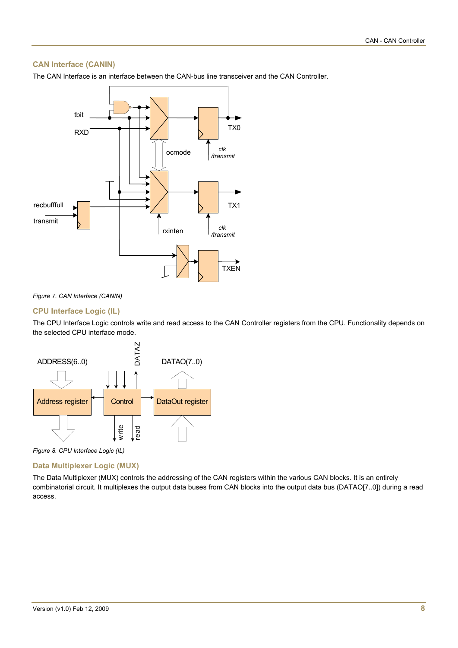## **CAN Interface (CANIN)**

The CAN Interface is an interface between the CAN-bus line transceiver and the CAN Controller.



#### *Figure 7. CAN Interface (CANIN)*

#### **CPU Interface Logic (IL)**

The CPU Interface Logic controls write and read access to the CAN Controller registers from the CPU. Functionality depends on the selected CPU interface mode.



*Figure 8. CPU Interface Logic (IL)* 

#### **Data Multiplexer Logic (MUX)**

The Data Multiplexer (MUX) controls the addressing of the CAN registers within the various CAN blocks. It is an entirely combinatorial circuit. It multiplexes the output data buses from CAN blocks into the output data bus (DATAO[7..0]) during a read access.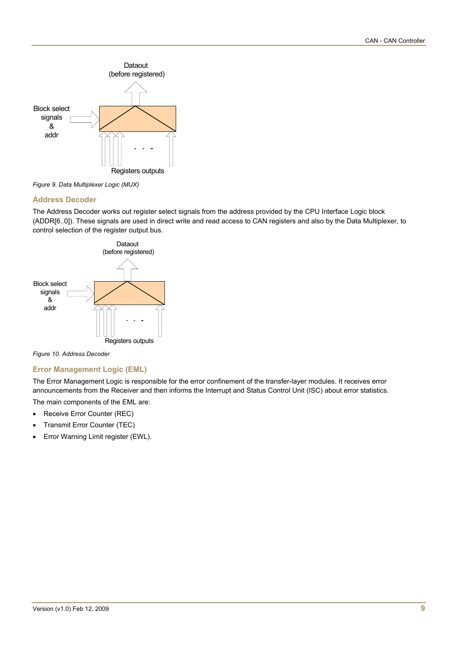

*Figure 9. Data Multiplexer Logic (MUX)* 

## **Address Decoder**

The Address Decoder works out register select signals from the address provided by the CPU Interface Logic block (ADDR[6..0]). These signals are used in direct write and read access to CAN registers and also by the Data Multiplexer, to control selection of the register output bus.



*Figure 10. Address Decoder* 

## **Error Management Logic (EML)**

The Error Management Logic is responsible for the error confinement of the transfer-layer modules. It receives error announcements from the Receiver and then informs the Interrupt and Status Control Unit (ISC) about error statistics.

The main components of the EML are:

- Receive Error Counter (REC)
- Transmit Error Counter (TEC)
- Error Warning Limit register (EWL).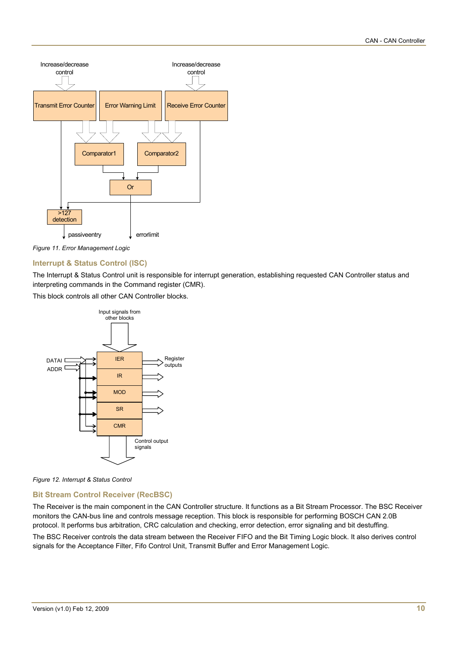



## **Interrupt & Status Control (ISC)**

The Interrupt & Status Control unit is responsible for interrupt generation, establishing requested CAN Controller status and interpreting commands in the Command register (CMR).

This block controls all other CAN Controller blocks.



*Figure 12. Interrupt & Status Control* 

## **Bit Stream Control Receiver (RecBSC)**

The Receiver is the main component in the CAN Controller structure. It functions as a Bit Stream Processor. The BSC Receiver monitors the CAN-bus line and controls message reception. This block is responsible for performing BOSCH CAN 2.0B protocol. It performs bus arbitration, CRC calculation and checking, error detection, error signaling and bit destuffing.

The BSC Receiver controls the data stream between the Receiver FIFO and the Bit Timing Logic block. It also derives control signals for the Acceptance Filter, Fifo Control Unit, Transmit Buffer and Error Management Logic.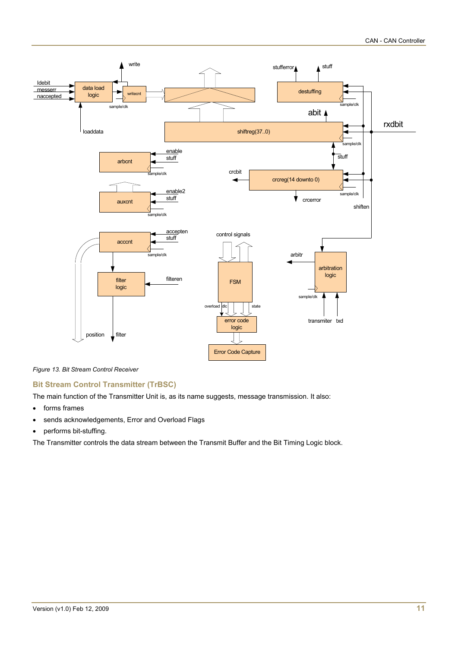

*Figure 13. Bit Stream Control Receiver* 

## **Bit Stream Control Transmitter (TrBSC)**

The main function of the Transmitter Unit is, as its name suggests, message transmission. It also:

- forms frames
- sends acknowledgements, Error and Overload Flags
- performs bit-stuffing.

The Transmitter controls the data stream between the Transmit Buffer and the Bit Timing Logic block.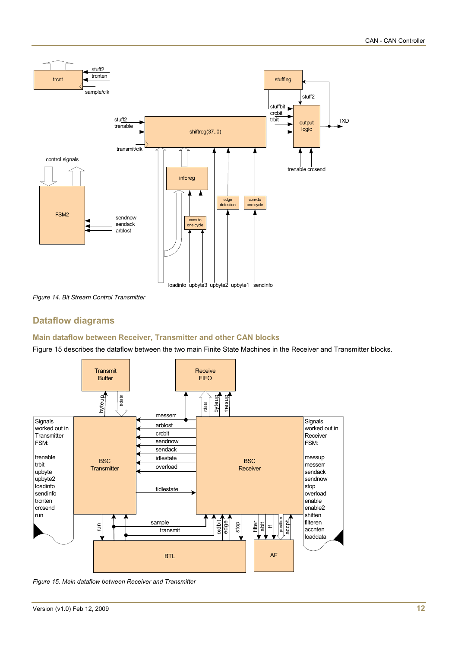

*Figure 14. Bit Stream Control Transmitter* 

## **Dataflow diagrams**

## **Main dataflow between Receiver, Transmitter and other CAN blocks**

Figure 15 describes the dataflow between the two main Finite State Machines in the Receiver and Transmitter blocks.



*Figure 15. Main dataflow between Receiver and Transmitter*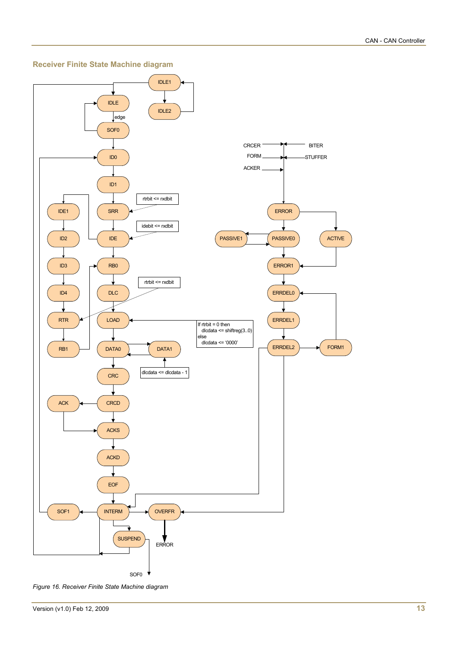

#### **Receiver Finite State Machine diagram**

*Figure 16. Receiver Finite State Machine diagram*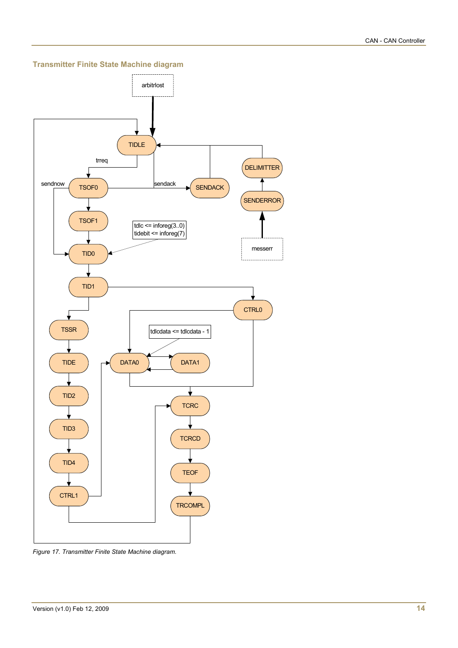**Transmitter Finite State Machine diagram** 



*Figure 17. Transmitter Finite State Machine diagram.*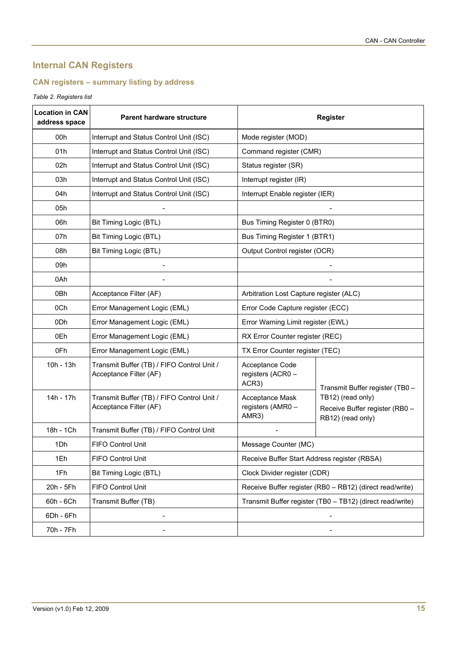# **Internal CAN Registers**

## **CAN registers – summary listing by address**

## *Table 2. Registers list*

| <b>Location in CAN</b><br>address space | <b>Parent hardware structure</b>                                     | <b>Register</b>                               |                                                                          |  |  |
|-----------------------------------------|----------------------------------------------------------------------|-----------------------------------------------|--------------------------------------------------------------------------|--|--|
| 00h                                     | Interrupt and Status Control Unit (ISC)                              | Mode register (MOD)                           |                                                                          |  |  |
| 01h                                     | Interrupt and Status Control Unit (ISC)                              | Command register (CMR)                        |                                                                          |  |  |
| 02h                                     | Interrupt and Status Control Unit (ISC)                              | Status register (SR)                          |                                                                          |  |  |
| 03h                                     | Interrupt and Status Control Unit (ISC)                              | Interrupt register (IR)                       |                                                                          |  |  |
| 04h                                     | Interrupt and Status Control Unit (ISC)                              | Interrupt Enable register (IER)               |                                                                          |  |  |
| 05h                                     |                                                                      |                                               |                                                                          |  |  |
| 06h                                     | Bit Timing Logic (BTL)                                               | Bus Timing Register 0 (BTR0)                  |                                                                          |  |  |
| 07h                                     | Bit Timing Logic (BTL)                                               | Bus Timing Register 1 (BTR1)                  |                                                                          |  |  |
| 08h                                     | Bit Timing Logic (BTL)                                               | Output Control register (OCR)                 |                                                                          |  |  |
| 09h                                     |                                                                      |                                               |                                                                          |  |  |
| 0Ah                                     |                                                                      |                                               |                                                                          |  |  |
| 0Bh                                     | Acceptance Filter (AF)                                               | Arbitration Lost Capture register (ALC)       |                                                                          |  |  |
| 0Ch                                     | Error Management Logic (EML)                                         | Error Code Capture register (ECC)             |                                                                          |  |  |
| 0Dh                                     | Error Management Logic (EML)                                         | Error Warning Limit register (EWL)            |                                                                          |  |  |
| 0Eh                                     | Error Management Logic (EML)                                         | RX Error Counter register (REC)               |                                                                          |  |  |
| 0Fh                                     | Error Management Logic (EML)                                         | TX Error Counter register (TEC)               |                                                                          |  |  |
| 10h - 13h                               | Transmit Buffer (TB) / FIFO Control Unit /<br>Acceptance Filter (AF) | Acceptance Code<br>registers (ACR0 -<br>ACR3) | Transmit Buffer register (TB0 -                                          |  |  |
| 14h - 17h                               | Transmit Buffer (TB) / FIFO Control Unit /<br>Acceptance Filter (AF) | Acceptance Mask<br>registers (AMR0 -<br>AMR3) | TB12) (read only)<br>Receive Buffer register (RB0 -<br>RB12) (read only) |  |  |
| 18h - 1Ch                               | Transmit Buffer (TB) / FIFO Control Unit                             |                                               |                                                                          |  |  |
| 1Dh                                     | <b>FIFO Control Unit</b>                                             | Message Counter (MC)                          |                                                                          |  |  |
| 1Eh                                     | FIFO Control Unit                                                    | Receive Buffer Start Address register (RBSA)  |                                                                          |  |  |
| 1Fh                                     | Bit Timing Logic (BTL)                                               | Clock Divider register (CDR)                  |                                                                          |  |  |
| 20h - 5Fh                               | FIFO Control Unit                                                    |                                               | Receive Buffer register (RB0 - RB12) (direct read/write)                 |  |  |
| 60h - 6Ch                               | Transmit Buffer (TB)                                                 |                                               | Transmit Buffer register (TB0 - TB12) (direct read/write)                |  |  |
| 6Dh - 6Fh                               |                                                                      |                                               |                                                                          |  |  |
| 70h - 7Fh                               |                                                                      |                                               |                                                                          |  |  |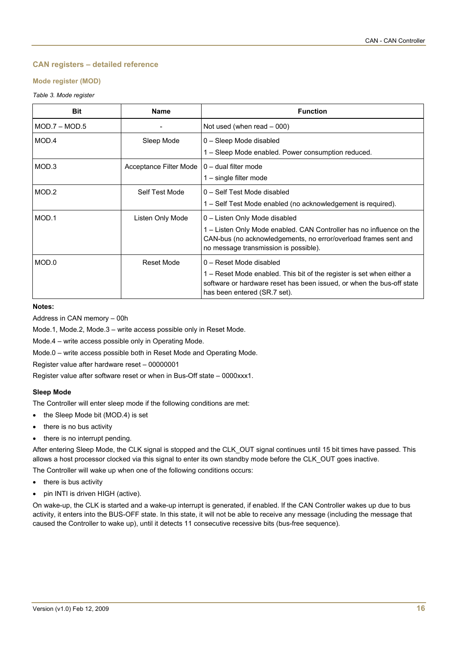## **CAN registers – detailed reference**

## **Mode register (MOD)**

## *Table 3. Mode register*

| <b>Bit</b>      | <b>Name</b>            | <b>Function</b>                                                                                                                                                                |
|-----------------|------------------------|--------------------------------------------------------------------------------------------------------------------------------------------------------------------------------|
| $MOD.7 - MOD.5$ |                        | Not used (when read $-000$ )                                                                                                                                                   |
| MOD.4           | Sleep Mode             | 0 - Sleep Mode disabled                                                                                                                                                        |
|                 |                        | 1 – Sleep Mode enabled. Power consumption reduced.                                                                                                                             |
| MOD.3           | Acceptance Filter Mode | $0 -$ dual filter mode                                                                                                                                                         |
|                 |                        | $1 -$ single filter mode                                                                                                                                                       |
| MOD.2           | Self Test Mode         | 0 - Self Test Mode disabled                                                                                                                                                    |
|                 |                        | 1 – Self Test Mode enabled (no acknowledgement is required).                                                                                                                   |
| MOD.1           | Listen Only Mode       | 0 - Listen Only Mode disabled                                                                                                                                                  |
|                 |                        | 1 – Listen Only Mode enabled. CAN Controller has no influence on the                                                                                                           |
|                 |                        | CAN-bus (no acknowledgements, no error/overload frames sent and<br>no message transmission is possible).                                                                       |
| MOD.0           | Reset Mode             | 0 - Reset Mode disabled                                                                                                                                                        |
|                 |                        | 1 - Reset Mode enabled. This bit of the register is set when either a<br>software or hardware reset has been issued, or when the bus-off state<br>has been entered (SR.7 set). |

## **Notes:**

Address in CAN memory – 00h

Mode.1, Mode.2, Mode.3 – write access possible only in Reset Mode.

Mode.4 – write access possible only in Operating Mode.

Mode.0 – write access possible both in Reset Mode and Operating Mode.

Register value after hardware reset – 00000001

Register value after software reset or when in Bus-Off state – 0000xxx1.

## **Sleep Mode**

The Controller will enter sleep mode if the following conditions are met:

- the Sleep Mode bit (MOD.4) is set
- there is no bus activity
- there is no interrupt pending.

After entering Sleep Mode, the CLK signal is stopped and the CLK\_OUT signal continues until 15 bit times have passed. This allows a host processor clocked via this signal to enter its own standby mode before the CLK\_OUT goes inactive.

The Controller will wake up when one of the following conditions occurs:

- there is bus activity
- pin INTI is driven HIGH (active).

On wake-up, the CLK is started and a wake-up interrupt is generated, if enabled. If the CAN Controller wakes up due to bus activity, it enters into the BUS-OFF state. In this state, it will not be able to receive any message (including the message that caused the Controller to wake up), until it detects 11 consecutive recessive bits (bus-free sequence).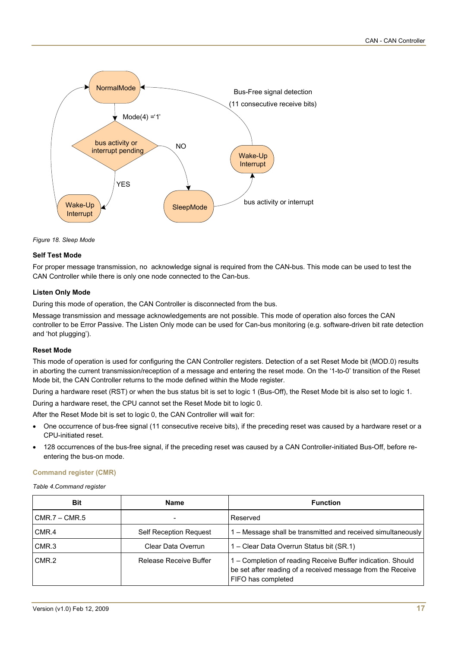

*Figure 18. Sleep Mode* 

## **Self Test Mode**

For proper message transmission, no acknowledge signal is required from the CAN-bus. This mode can be used to test the CAN Controller while there is only one node connected to the Can-bus.

## **Listen Only Mode**

During this mode of operation, the CAN Controller is disconnected from the bus.

Message transmission and message acknowledgements are not possible. This mode of operation also forces the CAN controller to be Error Passive. The Listen Only mode can be used for Can-bus monitoring (e.g. software-driven bit rate detection and 'hot plugging').

## **Reset Mode**

This mode of operation is used for configuring the CAN Controller registers. Detection of a set Reset Mode bit (MOD.0) results in aborting the current transmission/reception of a message and entering the reset mode. On the '1-to-0' transition of the Reset Mode bit, the CAN Controller returns to the mode defined within the Mode register.

During a hardware reset (RST) or when the bus status bit is set to logic 1 (Bus-Off), the Reset Mode bit is also set to logic 1.

During a hardware reset, the CPU cannot set the Reset Mode bit to logic 0.

After the Reset Mode bit is set to logic 0, the CAN Controller will wait for:

- One occurrence of bus-free signal (11 consecutive receive bits), if the preceding reset was caused by a hardware reset or a CPU-initiated reset.
- 128 occurrences of the bus-free signal, if the preceding reset was caused by a CAN Controller-initiated Bus-Off, before reentering the bus-on mode.

## **Command register (CMR)**

*Table 4.Command register* 

| Bit                             | <b>Name</b>                   | <b>Function</b>                                                                                                                                  |  |
|---------------------------------|-------------------------------|--------------------------------------------------------------------------------------------------------------------------------------------------|--|
| $CMR.7 - CMR.5$                 | Reserved                      |                                                                                                                                                  |  |
| CMR.4                           | <b>Self Reception Request</b> | 1 - Message shall be transmitted and received simultaneously                                                                                     |  |
| CMR <sub>3</sub>                | Clear Data Overrun            | 1 – Clear Data Overrun Status bit (SR.1)                                                                                                         |  |
| CMR.2<br>Release Receive Buffer |                               | 1 – Completion of reading Receive Buffer indication. Should<br>be set after reading of a received message from the Receive<br>FIFO has completed |  |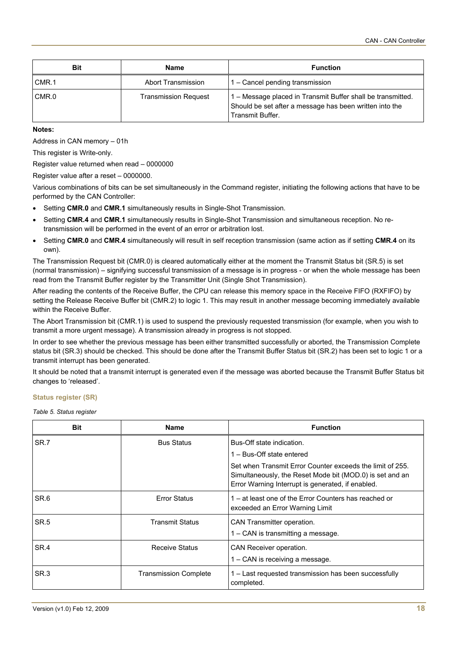| <b>Bit</b>                           | Name               | <b>Function</b>                                                                                                                            |
|--------------------------------------|--------------------|--------------------------------------------------------------------------------------------------------------------------------------------|
| CMR.1                                | Abort Transmission | 1 – Cancel pending transmission                                                                                                            |
| CMR.0<br><b>Transmission Request</b> |                    | 1 – Message placed in Transmit Buffer shall be transmitted.<br>Should be set after a message has been written into the<br>Transmit Buffer. |

#### **Notes:**

Address in CAN memory – 01h

This register is Write-only.

Register value returned when read – 0000000

Register value after a reset – 0000000.

Various combinations of bits can be set simultaneously in the Command register, initiating the following actions that have to be performed by the CAN Controller:

- Setting **CMR.0** and **CMR.1** simultaneously results in Single-Shot Transmission.
- Setting **CMR.4** and **CMR.1** simultaneously results in Single-Shot Transmission and simultaneous reception. No retransmission will be performed in the event of an error or arbitration lost.
- Setting **CMR.0** and **CMR.4** simultaneously will result in self reception transmission (same action as if setting **CMR.4** on its own).

The Transmission Request bit (CMR.0) is cleared automatically either at the moment the Transmit Status bit (SR.5) is set (normal transmission) – signifying successful transmission of a message is in progress - or when the whole message has been read from the Transmit Buffer register by the Transmitter Unit (Single Shot Transmission).

After reading the contents of the Receive Buffer, the CPU can release this memory space in the Receive FIFO (RXFIFO) by setting the Release Receive Buffer bit (CMR.2) to logic 1. This may result in another message becoming immediately available within the Receive Buffer.

The Abort Transmission bit (CMR.1) is used to suspend the previously requested transmission (for example, when you wish to transmit a more urgent message). A transmission already in progress is not stopped.

In order to see whether the previous message has been either transmitted successfully or aborted, the Transmission Complete status bit (SR.3) should be checked. This should be done after the Transmit Buffer Status bit (SR.2) has been set to logic 1 or a transmit interrupt has been generated.

It should be noted that a transmit interrupt is generated even if the message was aborted because the Transmit Buffer Status bit changes to 'released'.

#### **Status register (SR)**

*Table 5. Status register* 

| <b>Bit</b>       | <b>Name</b>                  | <b>Function</b>                                                                                                                                                            |
|------------------|------------------------------|----------------------------------------------------------------------------------------------------------------------------------------------------------------------------|
| SR.7             | <b>Bus Status</b>            | Bus-Off state indication.                                                                                                                                                  |
|                  |                              | 1 - Bus-Off state entered                                                                                                                                                  |
|                  |                              | Set when Transmit Error Counter exceeds the limit of 255.<br>Simultaneously, the Reset Mode bit (MOD.0) is set and an<br>Error Warning Interrupt is generated, if enabled. |
| SR.6             | <b>Error Status</b>          | 1 – at least one of the Error Counters has reached or<br>exceeded an Error Warning Limit                                                                                   |
| SR <sub>.5</sub> | <b>Transmit Status</b>       | CAN Transmitter operation.                                                                                                                                                 |
|                  |                              | 1 – CAN is transmitting a message.                                                                                                                                         |
| SR.4             | <b>Receive Status</b>        | CAN Receiver operation.                                                                                                                                                    |
|                  |                              | 1 – CAN is receiving a message.                                                                                                                                            |
| SR <sub>3</sub>  | <b>Transmission Complete</b> | - Last requested transmission has been successfully<br>completed.                                                                                                          |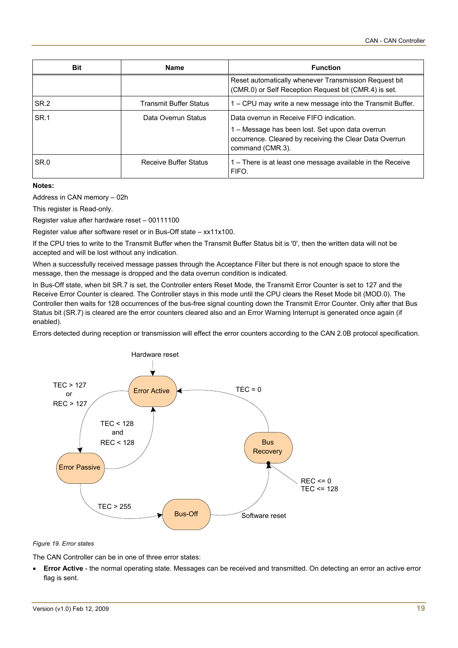| <b>Bit</b>      | <b>Name</b>                   | <b>Function</b>                                                                                                                                                             |  |
|-----------------|-------------------------------|-----------------------------------------------------------------------------------------------------------------------------------------------------------------------------|--|
|                 |                               | Reset automatically whenever Transmission Request bit<br>(CMR.0) or Self Reception Request bit (CMR.4) is set.                                                              |  |
| SR <sub>2</sub> | <b>Transmit Buffer Status</b> | 1 – CPU may write a new message into the Transmit Buffer.                                                                                                                   |  |
| SR.1            | Data Overrun Status           | Data overrun in Receive FIFO indication.<br>1 - Message has been lost. Set upon data overrun<br>occurrence. Cleared by receiving the Clear Data Overrun<br>command (CMR.3). |  |
| SR.0            | Receive Buffer Status         | 1 – There is at least one message available in the Receive<br>FIFO.                                                                                                         |  |

**Notes:** 

Address in CAN memory – 02h

This register is Read-only.

Register value after hardware reset – 00111100

Register value after software reset or in Bus-Off state – xx11x100.

If the CPU tries to write to the Transmit Buffer when the Transmit Buffer Status bit is '0', then the written data will not be accepted and will be lost without any indication.

When a successfully received message passes through the Acceptance Filter but there is not enough space to store the message, then the message is dropped and the data overrun condition is indicated.

In Bus-Off state, when bit SR.7 is set, the Controller enters Reset Mode, the Transmit Error Counter is set to 127 and the Receive Error Counter is cleared. The Controller stays in this mode until the CPU clears the Reset Mode bit (MOD.0). The Controller then waits for 128 occurrences of the bus-free signal counting down the Transmit Error Counter. Only after that Bus Status bit (SR.7) is cleared are the error counters cleared also and an Error Warning Interrupt is generated once again (if enabled).

Errors detected during reception or transmission will effect the error counters according to the CAN 2.0B protocol specification.



#### *Figure 19. Error states*

The CAN Controller can be in one of three error states:

• **Error Active** - the normal operating state. Messages can be received and transmitted. On detecting an error an active error flag is sent.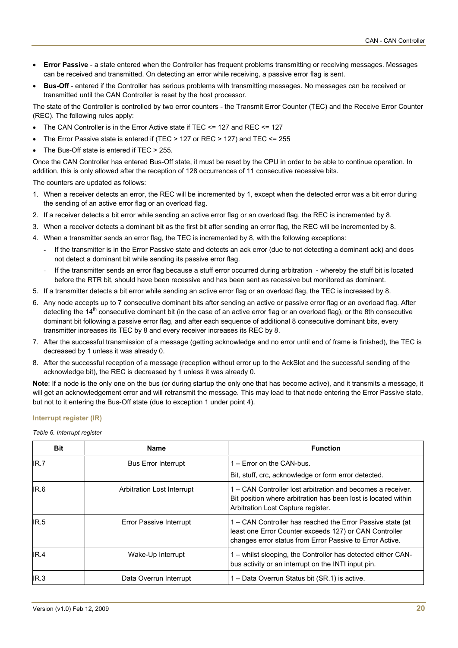- **Error Passive** a state entered when the Controller has frequent problems transmitting or receiving messages. Messages can be received and transmitted. On detecting an error while receiving, a passive error flag is sent.
- **Bus-Off** entered if the Controller has serious problems with transmitting messages. No messages can be received or transmitted until the CAN Controller is reset by the host processor.

The state of the Controller is controlled by two error counters - the Transmit Error Counter (TEC) and the Receive Error Counter (REC). The following rules apply:

- The CAN Controller is in the Error Active state if TEC <= 127 and REC <= 127
- The Error Passive state is entered if (TEC > 127 or REC > 127) and TEC <= 255
- The Bus-Off state is entered if TEC > 255.

Once the CAN Controller has entered Bus-Off state, it must be reset by the CPU in order to be able to continue operation. In addition, this is only allowed after the reception of 128 occurrences of 11 consecutive recessive bits.

The counters are updated as follows:

- 1. When a receiver detects an error, the REC will be incremented by 1, except when the detected error was a bit error during the sending of an active error flag or an overload flag.
- 2. If a receiver detects a bit error while sending an active error flag or an overload flag, the REC is incremented by 8.
- 3. When a receiver detects a dominant bit as the first bit after sending an error flag, the REC will be incremented by 8.
- 4. When a transmitter sends an error flag, the TEC is incremented by 8, with the following exceptions:
	- If the transmitter is in the Error Passive state and detects an ack error (due to not detecting a dominant ack) and does not detect a dominant bit while sending its passive error flag.
	- If the transmitter sends an error flag because a stuff error occurred during arbitration whereby the stuff bit is located before the RTR bit, should have been recessive and has been sent as recessive but monitored as dominant.
- 5. If a transmitter detects a bit error while sending an active error flag or an overload flag, the TEC is increased by 8.
- 6. Any node accepts up to 7 consecutive dominant bits after sending an active or passive error flag or an overload flag. After detecting the 14<sup>th</sup> consecutive dominant bit (in the case of an active error flag or an overload flag), or the 8th consecutive dominant bit following a passive error flag, and after each sequence of additional 8 consecutive dominant bits, every transmitter increases its TEC by 8 and every receiver increases its REC by 8.
- 7. After the successful transmission of a message (getting acknowledge and no error until end of frame is finished), the TEC is decreased by 1 unless it was already 0.
- 8. After the successful reception of a message (reception without error up to the AckSlot and the successful sending of the acknowledge bit), the REC is decreased by 1 unless it was already 0.

**Note**: If a node is the only one on the bus (or during startup the only one that has become active), and it transmits a message, it will get an acknowledgement error and will retransmit the message. This may lead to that node entering the Error Passive state, but not to it entering the Bus-Off state (due to exception 1 under point 4).

## **Interrupt register (IR)**

*Table 6. Interrupt register* 

| <b>Bit</b> | <b>Name</b>                    | <b>Function</b>                                                                                                                                                                  |
|------------|--------------------------------|----------------------------------------------------------------------------------------------------------------------------------------------------------------------------------|
| IR.7       | <b>Bus Error Interrupt</b>     | 1 – Error on the CAN-bus.                                                                                                                                                        |
|            |                                | Bit, stuff, crc, acknowledge or form error detected.                                                                                                                             |
| IR.6       | Arbitration Lost Interrupt     | 1 – CAN Controller lost arbitration and becomes a receiver.<br>Bit position where arbitration has been lost is located within<br>Arbitration Lost Capture register.              |
| IR.5       | <b>Error Passive Interrupt</b> | 1 – CAN Controller has reached the Error Passive state (at<br>least one Error Counter exceeds 127) or CAN Controller<br>changes error status from Error Passive to Error Active. |
| IR.4       | Wake-Up Interrupt              | 1 – whilst sleeping, the Controller has detected either CAN-<br>bus activity or an interrupt on the INTI input pin.                                                              |
| IR.3       | Data Overrun Interrupt         | 1 – Data Overrun Status bit (SR.1) is active.                                                                                                                                    |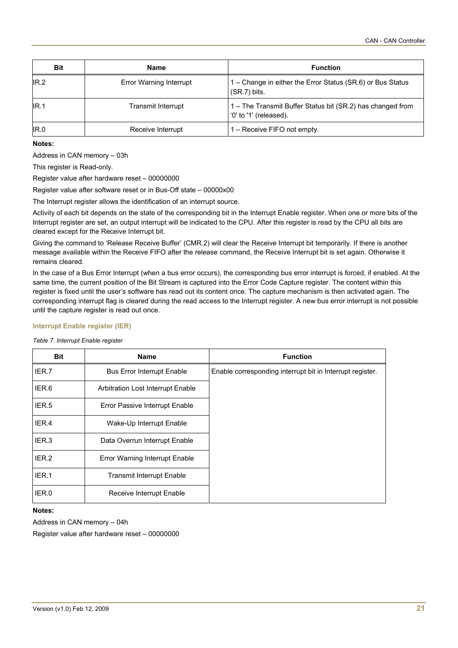| <b>Bit</b> | <b>Name</b>                    | <b>Function</b>                                                                      |
|------------|--------------------------------|--------------------------------------------------------------------------------------|
| IR.2       | <b>Error Warning Interrupt</b> | 1 - Change in either the Error Status (SR.6) or Bus Status<br>$(SR.7)$ bits.         |
| IR.1       | Transmit Interrupt             | 1 - The Transmit Buffer Status bit (SR.2) has changed from<br>'0' to '1' (released). |
| IR.0       | Receive Interrupt              | 1 – Receive FIFO not empty.                                                          |

#### **Notes:**

Address in CAN memory – 03h

This register is Read-only.

Register value after hardware reset – 00000000

Register value after software reset or in Bus-Off state – 00000x00

The Interrupt register allows the identification of an interrupt source.

Activity of each bit depends on the state of the corresponding bit in the Interrupt Enable register. When one or more bits of the Interrupt register are set, an output interrupt will be indicated to the CPU. After this register is read by the CPU all bits are cleared except for the Receive Interrupt bit.

Giving the command to 'Release Receive Buffer' (CMR.2) will clear the Receive Interrupt bit temporarily. If there is another message available within the Receive FIFO after the release command, the Receive Interrupt bit is set again. Otherwise it remains cleared.

In the case of a Bus Error Interrupt (when a bus error occurs), the corresponding bus error interrupt is forced, if enabled. At the same time, the current position of the Bit Stream is captured into the Error Code Capture register. The content within this register is fixed until the user's software has read out its content once. The capture mechanism is then activated again. The corresponding interrupt flag is cleared during the read access to the Interrupt register. A new bus error interrupt is not possible until the capture register is read out once.

#### **Interrupt Enable register (IER)**

|  |  | Table 7. Interrupt Enable register |  |  |
|--|--|------------------------------------|--|--|
|--|--|------------------------------------|--|--|

| <b>Bit</b> | <b>Name</b>                       | <b>Function</b>                                           |
|------------|-----------------------------------|-----------------------------------------------------------|
| IER.7      | <b>Bus Error Interrupt Enable</b> | Enable corresponding interrupt bit in Interrupt register. |
| IER.6      | Arbitration Lost Interrupt Enable |                                                           |
| IER.5      | Error Passive Interrupt Enable    |                                                           |
| IER.4      | Wake-Up Interrupt Enable          |                                                           |
| IER.3      | Data Overrun Interrupt Enable     |                                                           |
| IER.2      | Error Warning Interrupt Enable    |                                                           |
| IER.1      | <b>Transmit Interrupt Enable</b>  |                                                           |
| IER.0      | Receive Interrupt Enable          |                                                           |

#### **Notes:**

Address in CAN memory – 04h

Register value after hardware reset – 00000000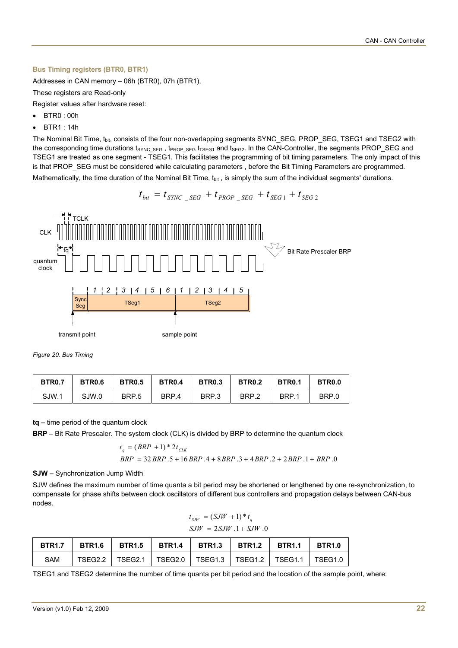#### **Bus Timing registers (BTR0, BTR1)**

Addresses in CAN memory – 06h (BTR0), 07h (BTR1),

These registers are Read-only

Register values after hardware reset:

- BTR0 : 00h
- BTR1 : 14h

The Nominal Bit Time, t<sub>bit</sub>, consists of the four non-overlapping segments SYNC\_SEG, PROP\_SEG, TSEG1 and TSEG2 with the corresponding time durations tsync seg, tPROP\_SEG tTSEG1 and tseg2. In the CAN-Controller, the segments PROP\_SEG and TSEG1 are treated as one segment - TSEG1. This facilitates the programming of bit timing parameters. The only impact of this is that PROP\_SEG must be considered while calculating parameters , before the Bit Timing Parameters are programmed.

Mathematically, the time duration of the Nominal Bit Time,  $t_{\text{bit}}$ , is simply the sum of the individual segments' durations.

$$
t_{bit} = t_{SYNC\_SEG} + t_{PROP\_SEG} + t_{SEG1} + t_{SEG2}
$$



*Figure 20. Bus Timing* 

| <b>BTR0.7</b> | <b>BTR0.6</b> | <b>BTR0.5</b> | <b>BTR0.4</b> | <b>BTR0.3</b> | <b>BTR0.2</b> | <b>BTR0.1</b> | <b>BTR0.0</b> |
|---------------|---------------|---------------|---------------|---------------|---------------|---------------|---------------|
| SJW.1         | SJW.0         | BRP.5         | BRP.4         | BRP.3         | BRP.2         | BRP.1         | BRP.0         |

**tq** – time period of the quantum clock

**BRP** – Bit Rate Prescaler. The system clock (CLK) is divided by BRP to determine the quantum clock

$$
t_q = (BRP + 1) * 2t_{CLK}
$$
  
BRP = 32 BRP .5 + 16 BRP .4 + 8 BRP .3 + 4 BRP .2 + 2 BRP .1 + BRP .0

**SJW** – Synchronization Jump Width

SJW defines the maximum number of time quanta a bit period may be shortened or lengthened by one re-synchronization, to compensate for phase shifts between clock oscillators of different bus controllers and propagation delays between CAN-bus nodes.

$$
t_{SIW} = (SJW + 1) * t_q
$$
  

$$
SJW = 2SJW .1 + SJW .0
$$

|     |  |  | BTR1.7   BTR1.6   BTR1.5   BTR1.4   BTR1.3   BTR1.2   BTR1.1   BTR1.0 |  |
|-----|--|--|-----------------------------------------------------------------------|--|
| SAM |  |  | TSEG2.2   TSEG2.1   TSEG2.0   TSEG1.3   TSEG1.2   TSEG1.1   TSEG1.0   |  |

TSEG1 and TSEG2 determine the number of time quanta per bit period and the location of the sample point, where: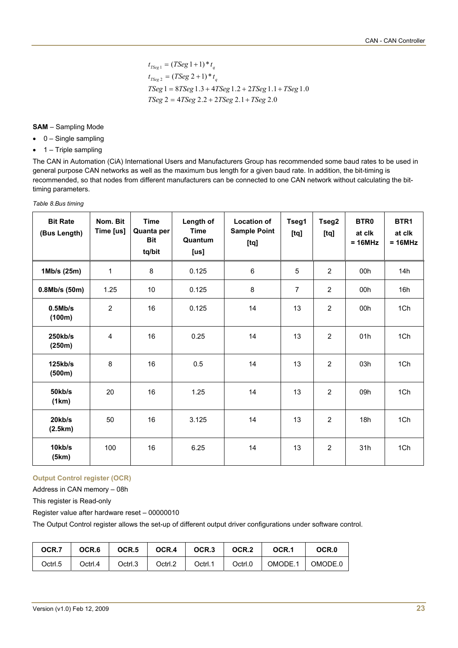$$
t_{TSeg1} = (TSeg1+1)*t_q
$$
  
\n
$$
t_{TSeg2} = (TSeg2+1)*t_q
$$
  
\n
$$
TSeg1 = 8TSeg1.3 + 4TSeg1.2 + 2TSeg1.1 + TSeg1.0
$$
  
\n
$$
TSeg2 = 4TSeg2.2 + 2TSeg2.1 + TSeg2.0
$$

#### **SAM** – Sampling Mode

- 0 Single sampling
- $\bullet$  1 Triple sampling

The CAN in Automation (CiA) International Users and Manufacturers Group has recommended some baud rates to be used in general purpose CAN networks as well as the maximum bus length for a given baud rate. In addition, the bit-timing is recommended, so that nodes from different manufacturers can be connected to one CAN network without calculating the bittiming parameters.

| <b>Bit Rate</b><br>(Bus Length) | Nom. Bit<br>Time [us] | <b>Time</b><br>Quanta per<br><b>Bit</b><br>tq/bit | Length of<br><b>Time</b><br>Quantum<br>[us] | <b>Location of</b><br><b>Sample Point</b><br>[tq] | Tseg1<br>[tq] | Tseg2<br>[tq]  | BTR <sub>0</sub><br>at clk<br>$= 16 MHz$ | BTR <sub>1</sub><br>at clk<br>$= 16 MHz$ |
|---------------------------------|-----------------------|---------------------------------------------------|---------------------------------------------|---------------------------------------------------|---------------|----------------|------------------------------------------|------------------------------------------|
| 1Mb/s (25m)                     | 1                     | 8                                                 | 0.125                                       | $6\phantom{1}$                                    | 5             | $\overline{2}$ | 00h                                      | 14h                                      |
| 0.8Mb/s(50m)                    | 1.25                  | 10                                                | 0.125                                       | 8                                                 | 7             | $\overline{2}$ | 00h                                      | 16h                                      |
| 0.5Mb/s<br>(100m)               | $\overline{2}$        | 16                                                | 0.125                                       | 14                                                | 13            | $\overline{2}$ | 00h                                      | 1Ch                                      |
| 250kb/s<br>(250m)               | 4                     | 16                                                | 0.25                                        | 14                                                | 13            | $\overline{2}$ | 01h                                      | 1Ch                                      |
| 125kb/s<br>(500m)               | 8                     | 16                                                | 0.5                                         | 14                                                | 13            | $\overline{2}$ | 03h                                      | 1Ch                                      |
| 50kb/s<br>(1km)                 | 20                    | 16                                                | 1.25                                        | 14                                                | 13            | $\overline{2}$ | 09h                                      | 1Ch                                      |
| 20kb/s<br>(2.5km)               | 50                    | 16                                                | 3.125                                       | 14                                                | 13            | $\overline{2}$ | 18h                                      | 1Ch                                      |
| 10kb/s<br>(5km)                 | 100                   | 16                                                | 6.25                                        | 14                                                | 13            | $\overline{2}$ | 31h                                      | 1Ch                                      |

*Table 8.Bus timing* 

## **Output Control register (OCR)**

Address in CAN memory – 08h

This register is Read-only

Register value after hardware reset – 00000010

The Output Control register allows the set-up of different output driver configurations under software control.

| OCR.7   | OCR.6   | OCR <sub>.5</sub> | OCR.4   | OCR <sub>3</sub> | OCR <sub>.2</sub> | OCR.1   | OCR.0   |
|---------|---------|-------------------|---------|------------------|-------------------|---------|---------|
| Octrl.5 | Octrl.4 | Octrl.3           | Octrl.2 | Octrl.1          | Octrl.0           | OMODE.1 | OMODE.0 |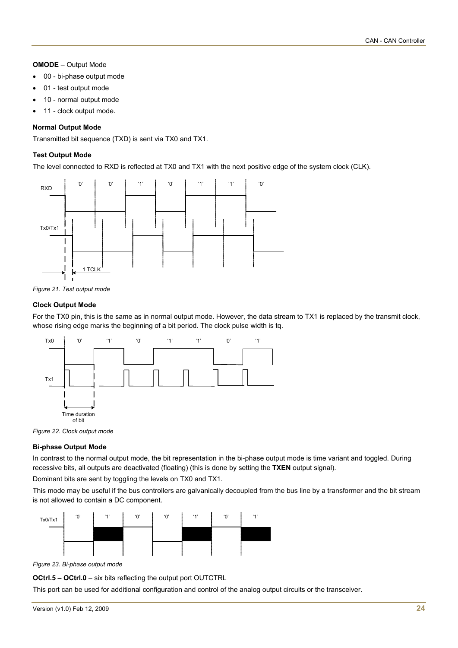## **OMODE** – Output Mode

- 00 bi-phase output mode
- 01 test output mode
- 10 normal output mode
- 11 clock output mode.

#### **Normal Output Mode**

Transmitted bit sequence (TXD) is sent via TX0 and TX1.

#### **Test Output Mode**

The level connected to RXD is reflected at TX0 and TX1 with the next positive edge of the system clock (CLK).



*Figure 21. Test output mode* 

#### **Clock Output Mode**

For the TX0 pin, this is the same as in normal output mode. However, the data stream to TX1 is replaced by the transmit clock, whose rising edge marks the beginning of a bit period. The clock pulse width is tq.



*Figure 22. Clock output mode* 

#### **Bi-phase Output Mode**

In contrast to the normal output mode, the bit representation in the bi-phase output mode is time variant and toggled. During recessive bits, all outputs are deactivated (floating) (this is done by setting the **TXEN** output signal).

Dominant bits are sent by toggling the levels on TX0 and TX1.

This mode may be useful if the bus controllers are galvanically decoupled from the bus line by a transformer and the bit stream is not allowed to contain a DC component.



*Figure 23. Bi-phase output mode* 

**OCtrl.5 – OCtrl.0** – six bits reflecting the output port OUTCTRL

This port can be used for additional configuration and control of the analog output circuits or the transceiver.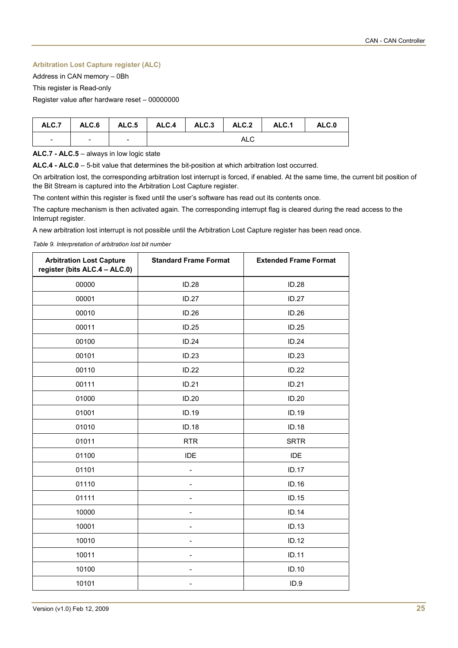## **Arbitration Lost Capture register (ALC)**

Address in CAN memory – 0Bh

This register is Read-only

Register value after hardware reset – 00000000

|                          |                          |                          |     |  |  | ALC.7   ALC.6   ALC.5   ALC.4   ALC.3   ALC.2   ALC.1 | ALC.0 |
|--------------------------|--------------------------|--------------------------|-----|--|--|-------------------------------------------------------|-------|
| $\overline{\phantom{a}}$ | $\overline{\phantom{0}}$ | $\overline{\phantom{a}}$ | ALC |  |  |                                                       |       |

**ALC.7 - ALC.5** – always in low logic state

**ALC.4 - ALC.0** – 5-bit value that determines the bit-position at which arbitration lost occurred.

On arbitration lost, the corresponding arbitration lost interrupt is forced, if enabled. At the same time, the current bit position of the Bit Stream is captured into the Arbitration Lost Capture register.

The content within this register is fixed until the user's software has read out its contents once.

The capture mechanism is then activated again. The corresponding interrupt flag is cleared during the read access to the Interrupt register.

A new arbitration lost interrupt is not possible until the Arbitration Lost Capture register has been read once.

*Table 9. Interpretation of arbitration lost bit number* 

| <b>Arbitration Lost Capture</b><br>register (bits ALC.4 - ALC.0) | <b>Standard Frame Format</b> | <b>Extended Frame Format</b> |
|------------------------------------------------------------------|------------------------------|------------------------------|
| 00000                                                            | ID.28                        | <b>ID.28</b>                 |
| 00001                                                            | <b>ID.27</b>                 | <b>ID.27</b>                 |
| 00010                                                            | ID.26                        | ID.26                        |
| 00011                                                            | ID.25                        | ID.25                        |
| 00100                                                            | ID.24                        | ID.24                        |
| 00101                                                            | ID.23                        | ID.23                        |
| 00110                                                            | ID.22                        | <b>ID.22</b>                 |
| 00111                                                            | ID.21                        | ID.21                        |
| 01000                                                            | ID.20                        | ID.20                        |
| 01001                                                            | ID.19                        | ID.19                        |
| 01010                                                            | ID.18                        | ID.18                        |
| 01011                                                            | <b>RTR</b>                   | <b>SRTR</b>                  |
| 01100                                                            | IDE                          | IDE                          |
| 01101                                                            | $\overline{a}$               | <b>ID.17</b>                 |
| 01110                                                            |                              | ID.16                        |
| 01111                                                            | $\overline{a}$               | ID.15                        |
| 10000                                                            |                              | ID.14                        |
| 10001                                                            |                              | ID.13                        |
| 10010                                                            | ۰                            | ID.12                        |
| 10011                                                            |                              | ID.11                        |
| 10100                                                            |                              | ID.10                        |
| 10101                                                            |                              | ID.9                         |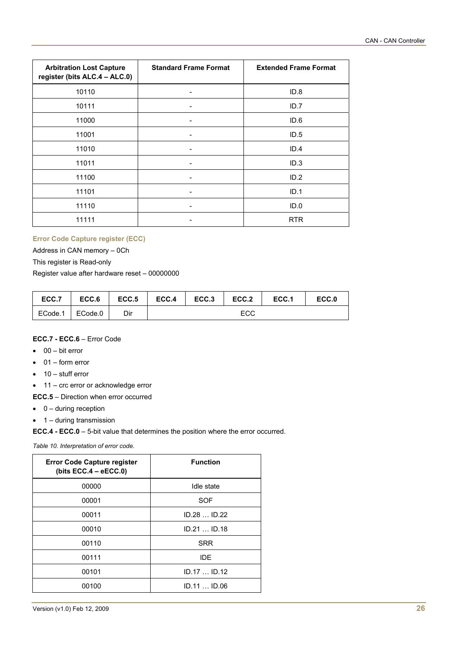| <b>Arbitration Lost Capture</b><br>register (bits ALC.4 - ALC.0) | <b>Standard Frame Format</b> | <b>Extended Frame Format</b> |
|------------------------------------------------------------------|------------------------------|------------------------------|
| 10110                                                            | ۰                            | ID.8                         |
| 10111                                                            |                              | ID.7                         |
| 11000                                                            |                              | ID.6                         |
| 11001                                                            | -                            | ID.5                         |
| 11010                                                            | -                            | ID.4                         |
| 11011                                                            | -                            | ID.3                         |
| 11100                                                            | -                            | ID.2                         |
| 11101                                                            |                              | ID.1                         |
| 11110                                                            |                              | ID.0                         |
| 11111                                                            |                              | <b>RTR</b>                   |

## **Error Code Capture register (ECC)**

Address in CAN memory – 0Ch

This register is Read-only

Register value after hardware reset – 00000000

| ECC.7   | ECC.6   | ECC.5 | ECC.4 | ECC.3 | ECC.2 | ECC.1 | ECC.0 |
|---------|---------|-------|-------|-------|-------|-------|-------|
| ECode.1 | ECode.0 | Dir   |       |       | ECC   |       |       |

## **ECC.7 - ECC.6** – Error Code

- $\bullet$  00 bit error
- 01 form error
- $\bullet$  10 stuff error
- 11 crc error or acknowledge error

**ECC.5** – Direction when error occurred

- $\bullet$  0 during reception
- 1 during transmission

**ECC.4 - ECC.0** – 5-bit value that determines the position where the error occurred.

*Table 10. Interpretation of error code.* 

| <b>Function</b> |
|-----------------|
| Idle state      |
| <b>SOF</b>      |
| $ID.28$ $ID.22$ |
| ID.21ID.18      |
| <b>SRR</b>      |
| <b>IDE</b>      |
| ID.17  ID.12    |
| ID.11  ID.06    |
|                 |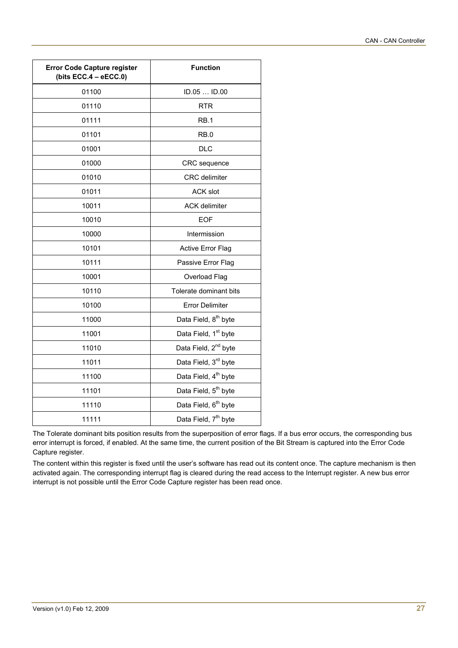| <b>Error Code Capture register</b><br>(bits ECC.4 - eECC.0) | <b>Function</b>                  |
|-------------------------------------------------------------|----------------------------------|
| 01100                                                       | ID.05  ID.00                     |
| 01110                                                       | <b>RTR</b>                       |
| 01111                                                       | RB.1                             |
| 01101                                                       | RB.0                             |
| 01001                                                       | <b>DLC</b>                       |
| 01000                                                       | CRC sequence                     |
| 01010                                                       | <b>CRC</b> delimiter             |
| 01011                                                       | <b>ACK slot</b>                  |
| 10011                                                       | <b>ACK delimiter</b>             |
| 10010                                                       | <b>EOF</b>                       |
| 10000                                                       | Intermission                     |
| 10101                                                       | <b>Active Error Flag</b>         |
| 10111                                                       | Passive Error Flag               |
| 10001                                                       | Overload Flag                    |
| 10110                                                       | Tolerate dominant bits           |
| 10100                                                       | <b>Error Delimiter</b>           |
| 11000                                                       | Data Field, 8 <sup>th</sup> byte |
| 11001                                                       | Data Field, 1 <sup>st</sup> byte |
| 11010                                                       | Data Field, 2 <sup>nd</sup> byte |
| 11011                                                       | Data Field, 3rd byte             |
| 11100                                                       | Data Field, 4 <sup>th</sup> byte |
| 11101                                                       | Data Field, 5 <sup>th</sup> byte |
| 11110                                                       | Data Field, 6 <sup>th</sup> byte |
| 11111                                                       | Data Field, 7 <sup>th</sup> byte |

The Tolerate dominant bits position results from the superposition of error flags. If a bus error occurs, the corresponding bus error interrupt is forced, if enabled. At the same time, the current position of the Bit Stream is captured into the Error Code Capture register.

The content within this register is fixed until the user's software has read out its content once. The capture mechanism is then activated again. The corresponding interrupt flag is cleared during the read access to the Interrupt register. A new bus error interrupt is not possible until the Error Code Capture register has been read once.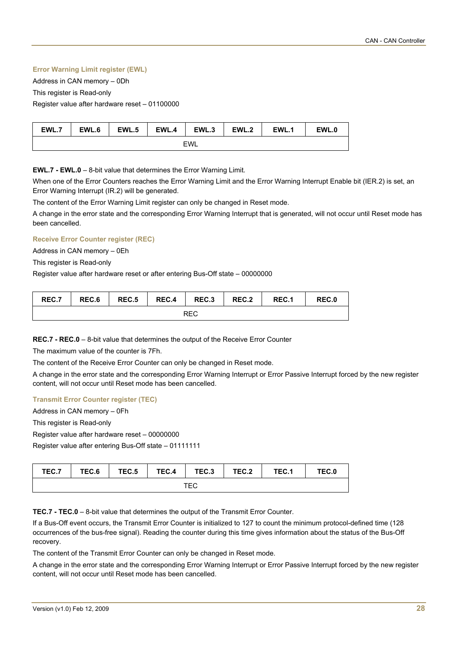## **Error Warning Limit register (EWL)**

Address in CAN memory – 0Dh

This register is Read-only

Register value after hardware reset – 01100000

| EWL.،      | EWL.6 | EWL.5 | EWL.4 | EWL.3 | EWL.2 | EWL. . | EWL.0 |  |
|------------|-------|-------|-------|-------|-------|--------|-------|--|
| <b>EWL</b> |       |       |       |       |       |        |       |  |

**EWL.7 - EWL.0** – 8-bit value that determines the Error Warning Limit.

When one of the Error Counters reaches the Error Warning Limit and the Error Warning Interrupt Enable bit (IER.2) is set, an Error Warning Interrupt (IR.2) will be generated.

The content of the Error Warning Limit register can only be changed in Reset mode.

A change in the error state and the corresponding Error Warning Interrupt that is generated, will not occur until Reset mode has been cancelled.

## **Receive Error Counter register (REC)**

Address in CAN memory – 0Eh

This register is Read-only

Register value after hardware reset or after entering Bus-Off state – 00000000

| REC.7 | REC.6 | REC.5 | REC.4 | REC.3 | REC.2 | REC.1 | REC.0 |
|-------|-------|-------|-------|-------|-------|-------|-------|
|       |       |       |       | REC   |       |       |       |

**REC.7 - REC.0** – 8-bit value that determines the output of the Receive Error Counter

The maximum value of the counter is 7Fh.

The content of the Receive Error Counter can only be changed in Reset mode.

A change in the error state and the corresponding Error Warning Interrupt or Error Passive Interrupt forced by the new register content, will not occur until Reset mode has been cancelled.

## **Transmit Error Counter register (TEC)**

Address in CAN memory – 0Fh

This register is Read-only

Register value after hardware reset – 00000000

Register value after entering Bus-Off state – 01111111

| TEC.7 | TEC.6 | TEC.5 | TEC.4 | $TEC.3$ TEC.2 | TEC.1 | TEC.0 |
|-------|-------|-------|-------|---------------|-------|-------|
|       |       |       |       | TEC           |       |       |

**TEC.7 - TEC.0** – 8-bit value that determines the output of the Transmit Error Counter.

If a Bus-Off event occurs, the Transmit Error Counter is initialized to 127 to count the minimum protocol-defined time (128 occurrences of the bus-free signal). Reading the counter during this time gives information about the status of the Bus-Off recovery.

The content of the Transmit Error Counter can only be changed in Reset mode.

A change in the error state and the corresponding Error Warning Interrupt or Error Passive Interrupt forced by the new register content, will not occur until Reset mode has been cancelled.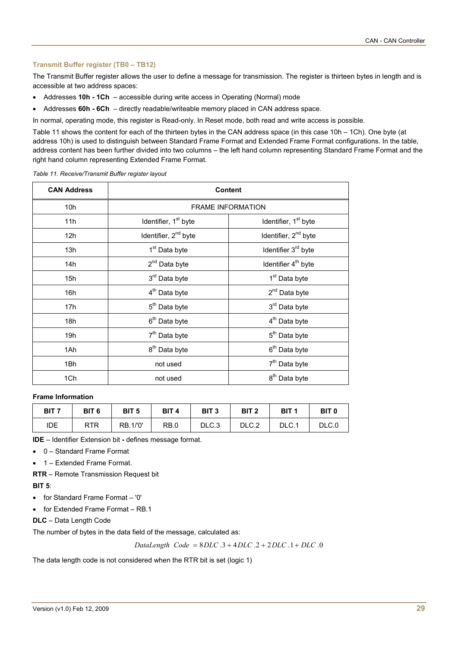## **Transmit Buffer register (TB0 – TB12)**

The Transmit Buffer register allows the user to define a message for transmission. The register is thirteen bytes in length and is accessible at two address spaces:

- Addresses **10h 1Ch** accessible during write access in Operating (Normal) mode
- Addresses **60h 6Ch** directly readable/writeable memory placed in CAN address space.

In normal, operating mode, this register is Read-only. In Reset mode, both read and write access is possible.

[Table 11](#page-28-0) shows the content for each of the thirteen bytes in the CAN address space (in this case 10h – 1Ch). One byte (at address 10h) is used to distinguish between Standard Frame Format and Extended Frame Format configurations. In the table, address content has been further divided into two columns – the left hand column representing Standard Frame Format and the right hand column representing Extended Frame Format.

<span id="page-28-0"></span>*Table 11. Receive/Transmit Buffer register layout* 

| <b>CAN Address</b> |                                  | <b>Content</b>                   |
|--------------------|----------------------------------|----------------------------------|
| 10 <sub>h</sub>    |                                  | <b>FRAME INFORMATION</b>         |
| 11h                | Identifier, 1 <sup>st</sup> byte | Identifier, 1 <sup>st</sup> byte |
| 12h                | Identifier, 2 <sup>nd</sup> byte | Identifier, 2 <sup>nd</sup> byte |
| 13h                | 1 <sup>st</sup> Data byte        | Identifier 3 <sup>rd</sup> byte  |
| 14h                | 2 <sup>nd</sup> Data byte        | Identifier 4 <sup>th</sup> byte  |
| 15 <sub>h</sub>    | 3rd Data byte                    | 1 <sup>st</sup> Data byte        |
| 16h                | 4 <sup>th</sup> Data byte        | $2^{nd}$ Data byte               |
| 17h                | 5 <sup>th</sup> Data byte        | 3rd Data byte                    |
| 18h                | 6 <sup>th</sup> Data byte        | 4 <sup>th</sup> Data byte        |
| 19h                | 7 <sup>th</sup> Data byte        | 5 <sup>th</sup> Data byte        |
| 1Ah                | 8 <sup>th</sup> Data byte        | 6 <sup>th</sup> Data byte        |
| 1Bh                | not used                         | 7 <sup>th</sup> Data byte        |
| 1Ch                | not used                         | 8 <sup>th</sup> Data byte        |

#### **Frame Information**

| BIT 7 | BIT <sub>6</sub> | BIT <sub>5</sub> | BIT <sub>4</sub> | BIT <sub>3</sub> | BIT <sub>2</sub> | BIT <sub>1</sub> | BIT <sub>0</sub> |
|-------|------------------|------------------|------------------|------------------|------------------|------------------|------------------|
| IDE   | <b>RTR</b>       | <b>RB.1/'0'</b>  | RB.0             | DLC.3            | DLC.2            | DLC.1            | DLC.0            |

**IDE** – Identifier Extension bit **-** defines message format.

- 0 Standard Frame Format
- 1 Extended Frame Format.

**RTR** – Remote Transmission Request bit

## **BIT 5**:

- for Standard Frame Format '0'
- for Extended Frame Format RB.1
- **DLC** Data Length Code

The number of bytes in the data field of the message, calculated as:

$$
DataLength\ Code = 8DLC.3 + 4DLC.2 + 2DLC.1 + DLC.0
$$

The data length code is not considered when the RTR bit is set (logic 1)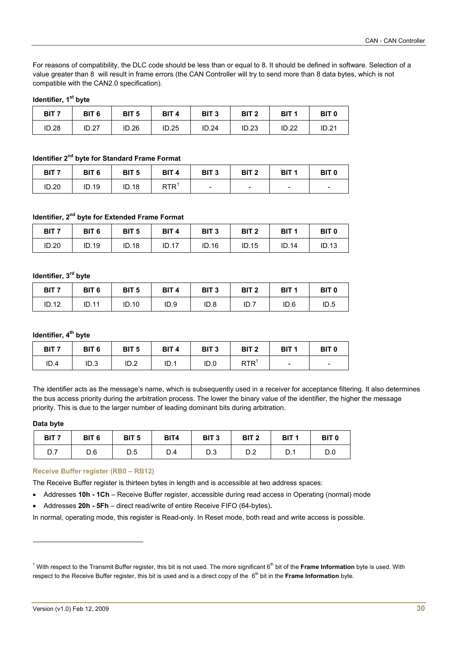For reasons of compatibility, the DLC code should be less than or equal to 8. It should be defined in software. Selection of a value greater than 8 will result in frame errors (the CAN Controller will try to send more than 8 data bytes, which is not compatible with the CAN2.0 specification).

## **Identifier, 1st byte**

| BIT <sub>7</sub> | BIT <sub>6</sub> | BIT <sub>5</sub> | BIT <sub>4</sub> | BIT <sub>3</sub> | BIT <sub>2</sub> | BIT <sub>1</sub> | BIT <sub>0</sub> |
|------------------|------------------|------------------|------------------|------------------|------------------|------------------|------------------|
| ID.28            | ID.27            | ID.26            | ID.25            | <b>ID.24</b>     | ID.23            | ID.22            | ID.21            |

## **Identifier 2nd byte for Standard Frame Format**

| BIT <sub>7</sub> | BIT <sub>6</sub> | BIT <sub>5</sub> | BIT <sub>4</sub> | BIT <sub>3</sub>         | BIT <sub>2</sub>         | BIT <sub>1</sub>         | BIT <sub>0</sub>         |
|------------------|------------------|------------------|------------------|--------------------------|--------------------------|--------------------------|--------------------------|
| ID.20            | ID.19            | <b>ID.18</b>     | <b>RTR</b>       | $\overline{\phantom{a}}$ | $\overline{\phantom{0}}$ | $\overline{\phantom{a}}$ | $\overline{\phantom{0}}$ |

## **Identifier, 2<sup>nd</sup> byte for Extended Frame Format**

| BIT <sub>7</sub> | BIT <sub>6</sub> | BIT <sub>5</sub> | BIT <sub>4</sub> | BIT <sub>3</sub> | BIT <sub>2</sub> | BIT <sub>1</sub> | BIT <sub>0</sub> |
|------------------|------------------|------------------|------------------|------------------|------------------|------------------|------------------|
| ID.20            | ID.19            | ID.18            | ID.17            | ID.16            | ID.15            | ID.14            | ID.13            |

## **Identifier, 3rd byte**

| BIT <sub>7</sub> | BIT <sub>6</sub> | BIT <sub>5</sub> | BIT <sub>4</sub> | BIT <sub>3</sub> | BIT <sub>2</sub> | BIT <sub>1</sub> | <b>BIT 0</b> |
|------------------|------------------|------------------|------------------|------------------|------------------|------------------|--------------|
| ID.12            | ID.11            | ID.10            | ID.9             | ID.8             | ID.7             | ID.6             | ID.5         |

## **Identifier, 4<sup>th</sup> byte**

| BIT <sub>7</sub> | BIT <sub>6</sub> | BIT <sub>5</sub> | BIT <sub>4</sub> | BIT <sub>3</sub> | BIT <sub>2</sub> | BIT <sub>1</sub>         | BIT <sub>0</sub> |
|------------------|------------------|------------------|------------------|------------------|------------------|--------------------------|------------------|
| ID.4             | ID.3             | ID.2             | ID.1             | ID.0             | <b>RTR</b>       | $\overline{\phantom{a}}$ | -                |

The identifier acts as the message's name, which is subsequently used in a receiver for acceptance filtering. It also determines the bus access priority during the arbitration process. The lower the binary value of the identifier, the higher the message priority. This is due to the larger number of leading dominant bits during arbitration.

## **Data byte**

l

| BIT <sub>7</sub> | BIT <sub>6</sub> | BIT <sub>5</sub> | BIT4 | BIT <sub>3</sub> | BIT <sub>2</sub> | BIT <sub>1</sub> | <b>BIT 0</b> |
|------------------|------------------|------------------|------|------------------|------------------|------------------|--------------|
| υ.ι              | D.6              | D.5              | D.4  | D.3              | D.Z              | D.1              | D.0          |

## **Receive Buffer register (RB0 – RB12)**

The Receive Buffer register is thirteen bytes in length and is accessible at two address spaces:

- Addresses **10h 1Ch** Receive Buffer register, accessible during read access in Operating (normal) mode
- Addresses **20h 5Fh** direct read/write of entire Receive FIFO (64-bytes)**.**

In normal, operating mode, this register is Read-only. In Reset mode, both read and write access is possible.

<span id="page-29-0"></span><sup>&</sup>lt;sup>1</sup> With respect to the Transmit Buffer register, this bit is not used. The more significant 6<sup>th</sup> bit of the Frame Information byte is used. With respect to the Receive Buffer register, this bit is used and is a direct copy of the 6<sup>th</sup> bit in the **Frame Information** byte.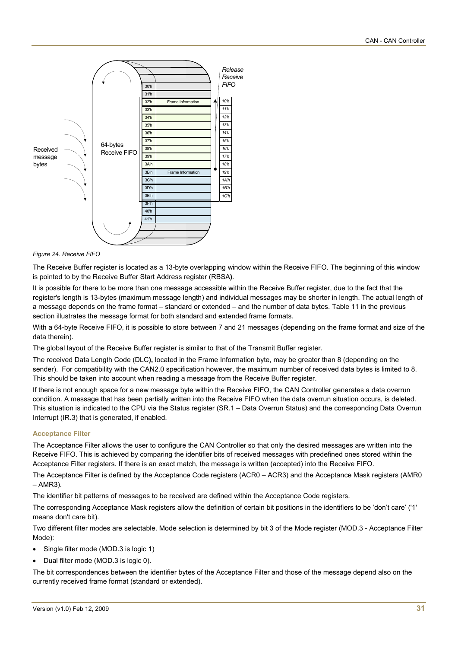

*Figure 24. Receive FIFO* 

The Receive Buffer register is located as a 13-byte overlapping window within the Receive FIFO. The beginning of this window is pointed to by the Receive Buffer Start Address register (RBSA**)**.

It is possible for there to be more than one message accessible within the Receive Buffer register, due to the fact that the register's length is 13-bytes (maximum message length) and individual messages may be shorter in length. The actual length of a message depends on the frame format – standard or extended – and the number of data bytes. Table 11 in the previous section illustrates the message format for both standard and extended frame formats.

With a 64-byte Receive FIFO, it is possible to store between 7 and 21 messages (depending on the frame format and size of the data therein).

The global layout of the Receive Buffer register is similar to that of the Transmit Buffer register.

The received Data Length Code (DLC**),** located in the Frame Information byte, may be greater than 8 (depending on the sender). For compatibility with the CAN2.0 specification however, the maximum number of received data bytes is limited to 8. This should be taken into account when reading a message from the Receive Buffer register.

If there is not enough space for a new message byte within the Receive FIFO, the CAN Controller generates a data overrun condition. A message that has been partially written into the Receive FIFO when the data overrun situation occurs, is deleted. This situation is indicated to the CPU via the Status register (SR.1 – Data Overrun Status) and the corresponding Data Overrun Interrupt (IR.3) that is generated, if enabled.

## **Acceptance Filter**

The Acceptance Filter allows the user to configure the CAN Controller so that only the desired messages are written into the Receive FIFO. This is achieved by comparing the identifier bits of received messages with predefined ones stored within the Acceptance Filter registers. If there is an exact match, the message is written (accepted) into the Receive FIFO.

The Acceptance Filter is defined by the Acceptance Code registers (ACR0 – ACR3) and the Acceptance Mask registers (AMR0  $- AMR3$ 

The identifier bit patterns of messages to be received are defined within the Acceptance Code registers.

The corresponding Acceptance Mask registers allow the definition of certain bit positions in the identifiers to be 'don't care' ('1' means don't care bit).

Two different filter modes are selectable. Mode selection is determined by bit 3 of the Mode register (MOD.3 - Acceptance Filter Mode):

- Single filter mode (MOD.3 is logic 1)
- Dual filter mode (MOD.3 is logic 0).

The bit correspondences between the identifier bytes of the Acceptance Filter and those of the message depend also on the currently received frame format (standard or extended).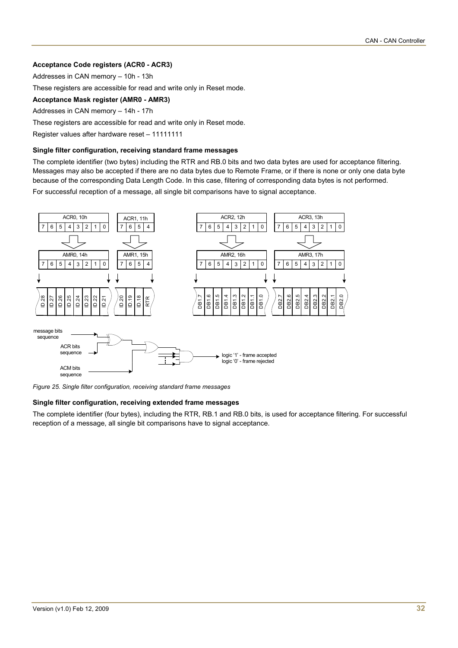## **Acceptance Code registers (ACR0 - ACR3)**

Addresses in CAN memory – 10h - 13h

These registers are accessible for read and write only in Reset mode.

## **Acceptance Mask register (AMR0 - AMR3)**

Addresses in CAN memory – 14h - 17h

These registers are accessible for read and write only in Reset mode.

Register values after hardware reset – 11111111

#### **Single filter configuration, receiving standard frame messages**

The complete identifier (two bytes) including the RTR and RB.0 bits and two data bytes are used for acceptance filtering. Messages may also be accepted if there are no data bytes due to Remote Frame, or if there is none or only one data byte because of the corresponding Data Length Code. In this case, filtering of corresponding data bytes is not performed. For successful reception of a message, all single bit comparisons have to signal acceptance.



*Figure 25. Single filter configuration, receiving standard frame messages* 

## **Single filter configuration, receiving extended frame messages**

The complete identifier (four bytes), including the RTR, RB.1 and RB.0 bits, is used for acceptance filtering. For successful reception of a message, all single bit comparisons have to signal acceptance.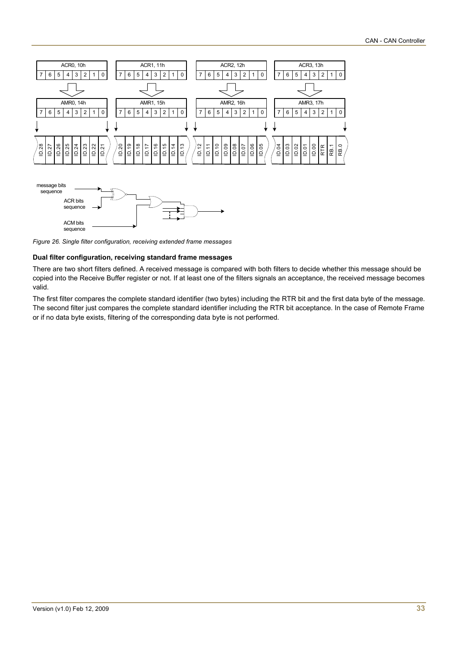



*Figure 26. Single filter configuration, receiving extended frame messages* 

#### **Dual filter configuration, receiving standard frame messages**

There are two short filters defined. A received message is compared with both filters to decide whether this message should be copied into the Receive Buffer register or not. If at least one of the filters signals an acceptance, the received message becomes valid.

The first filter compares the complete standard identifier (two bytes) including the RTR bit and the first data byte of the message. The second filter just compares the complete standard identifier including the RTR bit acceptance. In the case of Remote Frame or if no data byte exists, filtering of the corresponding data byte is not performed.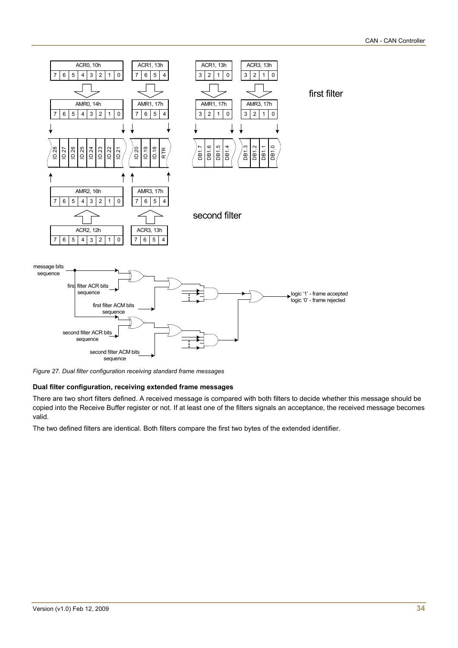

*Figure 27. Dual filter configuration receiving standard frame messages* 

## **Dual filter configuration, receiving extended frame messages**

There are two short filters defined. A received message is compared with both filters to decide whether this message should be copied into the Receive Buffer register or not. If at least one of the filters signals an acceptance, the received message becomes valid.

The two defined filters are identical. Both filters compare the first two bytes of the extended identifier.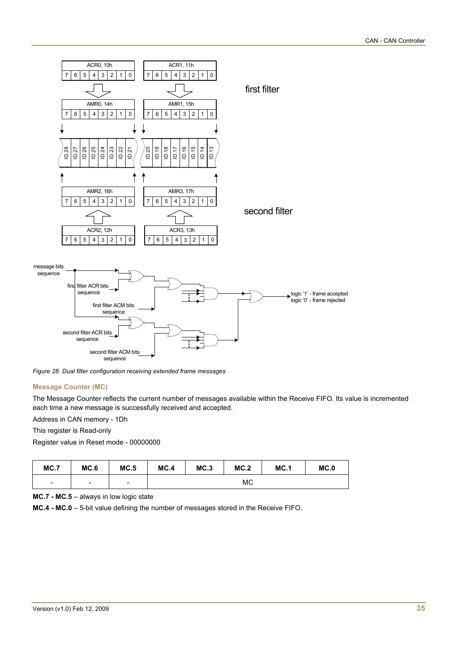

*Figure 28. Dual filter configuration receiving extended frame messages* 

## **Message Counter (MC)**

The Message Counter reflects the current number of messages available within the Receive FIFO. Its value is incremented each time a new message is successfully received and accepted.

Address in CAN memory - 1Dh

This register is Read-only

Register value in Reset mode - 00000000

| MC.7 | MC.6                     | MC.5                     | MC.4 | MC.3 | MC.2 | MC.1 | MC.0 |
|------|--------------------------|--------------------------|------|------|------|------|------|
| -    | $\overline{\phantom{0}}$ | $\overline{\phantom{a}}$ |      |      | МC   |      |      |

**MC.7 - MC.5** – always in low logic state

**MC.4 - MC.0** – 5-bit value defining the number of messages stored in the Receive FIFO.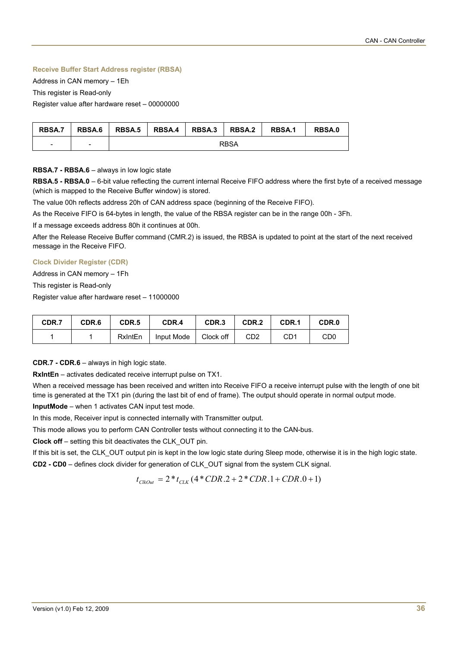## **Receive Buffer Start Address register (RBSA)**

Address in CAN memory – 1Eh

This register is Read-only

Register value after hardware reset – 00000000

| <b>RBSA.7</b>            | RBSA.6                   |  | RBSA.5   RBSA.4   RBSA.3   RBSA.2 |      | <b>RBSA.1</b> | <b>RBSA.0</b> |
|--------------------------|--------------------------|--|-----------------------------------|------|---------------|---------------|
| $\overline{\phantom{a}}$ | $\overline{\phantom{0}}$ |  |                                   | RBSA |               |               |

## **RBSA.7 - RBSA.6** – always in low logic state

**RBSA.5 - RBSA.0** – 6-bit value reflecting the current internal Receive FIFO address where the first byte of a received message (which is mapped to the Receive Buffer window) is stored.

The value 00h reflects address 20h of CAN address space (beginning of the Receive FIFO).

As the Receive FIFO is 64-bytes in length, the value of the RBSA register can be in the range 00h - 3Fh.

If a message exceeds address 80h it continues at 00h.

After the Release Receive Buffer command (CMR.2) is issued, the RBSA is updated to point at the start of the next received message in the Receive FIFO.

## **Clock Divider Register (CDR)**

Address in CAN memory – 1Fh

This register is Read-only

Register value after hardware reset – 11000000

| CDR.7 | CDR.6 | CDR <sub>.5</sub> | CDR.4      | CDR <sub>3</sub> | CDR.2 | CDR.1 | CDR.0 |
|-------|-------|-------------------|------------|------------------|-------|-------|-------|
|       |       | <b>RxIntEn</b>    | Input Mode | Clock off        | CD2   | CD1   | CD0   |

**CDR.7 - CDR.6** – always in high logic state.

**RxIntEn** – activates dedicated receive interrupt pulse on TX1.

When a received message has been received and written into Receive FIFO a receive interrupt pulse with the length of one bit time is generated at the TX1 pin (during the last bit of end of frame). The output should operate in normal output mode.

**InputMode** – when 1 activates CAN input test mode.

In this mode, Receiver input is connected internally with Transmitter output.

This mode allows you to perform CAN Controller tests without connecting it to the CAN-bus.

**Clock off** – setting this bit deactivates the CLK\_OUT pin.

If this bit is set, the CLK OUT output pin is kept in the low logic state during Sleep mode, otherwise it is in the high logic state.

**CD2 - CD0** – defines clock divider for generation of CLK\_OUT signal from the system CLK signal.

 $t_{CkOut} = 2 * t_{C1K} (4 * CDR.2 + 2 * CDR.1 + CDR.0 + 1)$